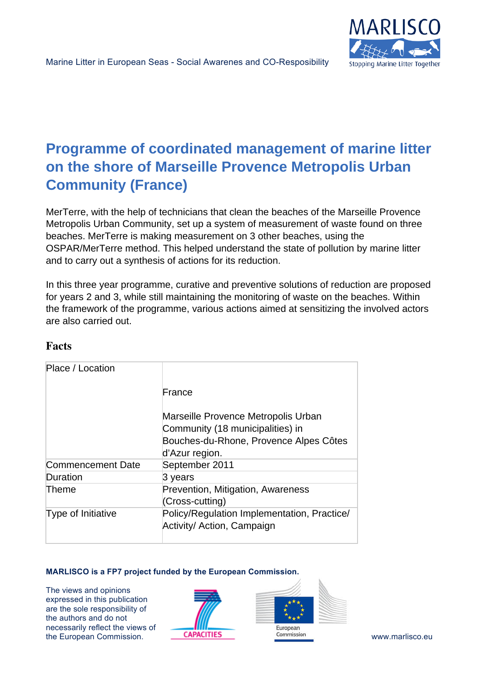

# **Programme of coordinated management of marine litter on the shore of Marseille Provence Metropolis Urban Community (France)**

MerTerre, with the help of technicians that clean the beaches of the Marseille Provence Metropolis Urban Community, set up a system of measurement of waste found on three beaches. MerTerre is making measurement on 3 other beaches, using the OSPAR/MerTerre method. This helped understand the state of pollution by marine litter and to carry out a synthesis of actions for its reduction.

In this three year programme, curative and preventive solutions of reduction are proposed for years 2 and 3, while still maintaining the monitoring of waste on the beaches. Within the framework of the programme, various actions aimed at sensitizing the involved actors are also carried out.

| Place / Location         |                                                                                                                                     |
|--------------------------|-------------------------------------------------------------------------------------------------------------------------------------|
|                          | France                                                                                                                              |
|                          | Marseille Provence Metropolis Urban<br>Community (18 municipalities) in<br>Bouches-du-Rhone, Provence Alpes Côtes<br>d'Azur region. |
| <b>Commencement Date</b> | September 2011                                                                                                                      |
| Duration                 | 3 years                                                                                                                             |
| Theme                    | Prevention, Mitigation, Awareness<br>(Cross-cutting)                                                                                |
| Type of Initiative       | Policy/Regulation Implementation, Practice/<br>Activity/ Action, Campaign                                                           |

## **Facts**

### **MARLISCO is a FP7 project funded by the European Commission.**

The views and opinions expressed in this publication are the sole responsibility of the authors and do not necessarily reflect the views of the European Commission. **CAPACITIES COMMISSION COMMISSION WWW.marlisco.eu** 



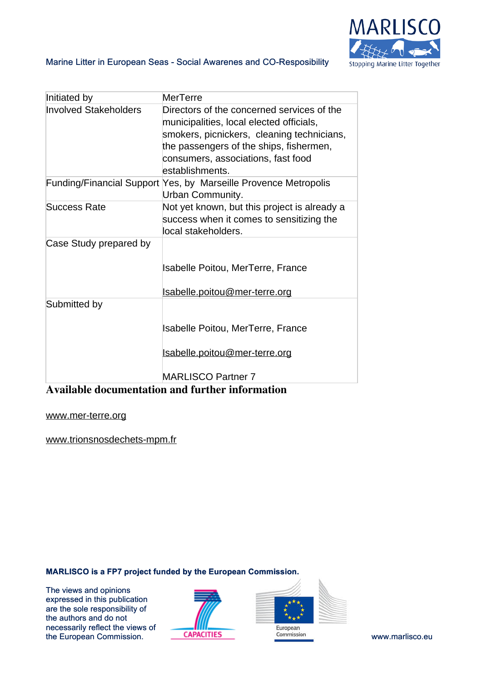

### Marine Litter in European Seas - Social Awarenes and CO-Resposibility

| Initiated by                 | MerTerre                                                                                                                                                                                                                                 |
|------------------------------|------------------------------------------------------------------------------------------------------------------------------------------------------------------------------------------------------------------------------------------|
| <b>Involved Stakeholders</b> | Directors of the concerned services of the<br>municipalities, local elected officials,<br>smokers, picnickers, cleaning technicians,<br>the passengers of the ships, fishermen,<br>consumers, associations, fast food<br>establishments. |
|                              | Funding/Financial Support Yes, by Marseille Provence Metropolis<br>Urban Community.                                                                                                                                                      |
| <b>Success Rate</b>          | Not yet known, but this project is already a<br>success when it comes to sensitizing the<br>local stakeholders.                                                                                                                          |
| Case Study prepared by       |                                                                                                                                                                                                                                          |
|                              | Isabelle Poitou, MerTerre, France                                                                                                                                                                                                        |
|                              | <u>Isabelle.poitou@mer-terre.org</u>                                                                                                                                                                                                     |
| Submitted by                 |                                                                                                                                                                                                                                          |
|                              | <b>Isabelle Poitou, MerTerre, France</b>                                                                                                                                                                                                 |
|                              | <u>Isabelle.poitou@mer-terre.org</u>                                                                                                                                                                                                     |
|                              | <b>MARLISCO Partner 7</b>                                                                                                                                                                                                                |

## **Available documentation and further information**

### [www.mer-terre.org](http://www.mer-terre.org)

[www.trionsnosdechets-mpm.fr](http://www.trionsnosdechets-mpm.fr)

### **MARLISCO is a FP7 project funded by the European Commission.**

The views and opinions expressed in this publication are the sole responsibility of the authors and do not necessarily reflect the views of The European Commission. **CAPACITIES** Commission Commission Www.marlisco.eu